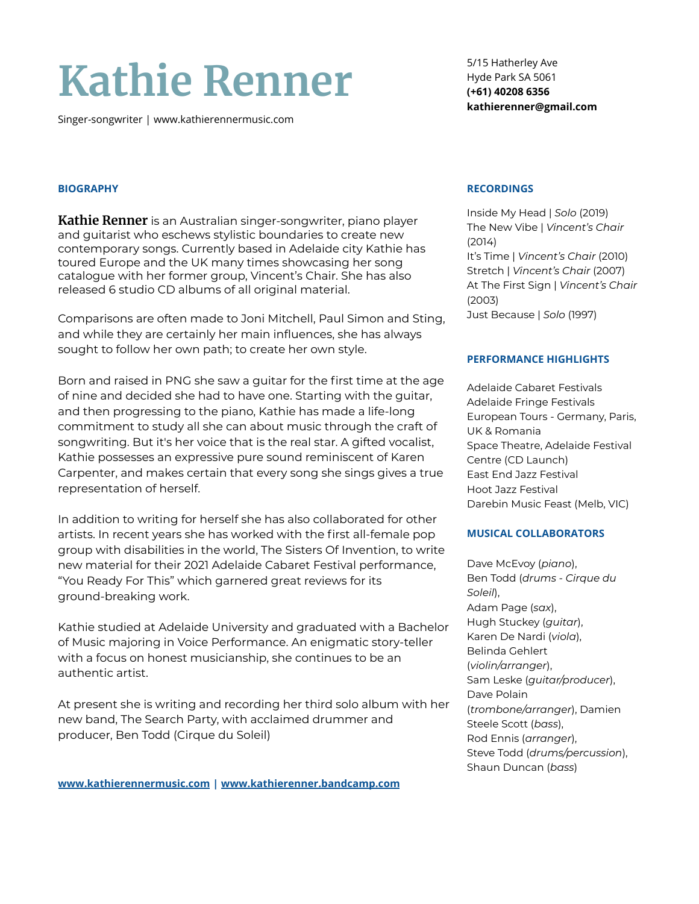# **Kathie Renner**

Singer-songwriter | www.kathierennermusic.com

5/15 Hatherley Ave Hyde Park SA 5061 **(+61) 40208 6356 kathierenner@gmail.com**

## **BIOGRAPHY**

**Kathie Renner** is an Australian singer-songwriter, piano player and guitarist who eschews stylistic boundaries to create new contemporary songs. Currently based in Adelaide city Kathie has toured Europe and the UK many times showcasing her song catalogue with her former group, Vincent's Chair. She has also released 6 studio CD albums of all original material.

Comparisons are often made to Joni Mitchell, Paul Simon and Sting, and while they are certainly her main influences, she has always sought to follow her own path; to create her own style.

Born and raised in PNG she saw a guitar for the first time at the age of nine and decided she had to have one. Starting with the guitar, and then progressing to the piano, Kathie has made a life-long commitment to study all she can about music through the craft of songwriting. But it's her voice that is the real star. A gifted vocalist, Kathie possesses an expressive pure sound reminiscent of Karen Carpenter, and makes certain that every song she sings gives a true representation of herself.

In addition to writing for herself she has also collaborated for other artists. In recent years she has worked with the first all-female pop group with disabilities in the world, The Sisters Of Invention, to write new material for their 2021 Adelaide Cabaret Festival performance, "You Ready For This" which garnered great reviews for its ground-breaking work.

Kathie studied at Adelaide University and graduated with a Bachelor of Music majoring in Voice Performance. An enigmatic story-teller with a focus on honest musicianship, she continues to be an authentic artist.

At present she is writing and recording her third solo album with her new band, The Search Party, with acclaimed drummer and producer, Ben Todd (Cirque du Soleil)

**[www.kathierennermusic.com](http://www.kathierennermusic.com) | [www.kathierenner.bandcamp.com](http://www.kathierenner.bandcamp.com)**

#### **RECORDINGS**

Inside My Head | *Solo* (2019) The New Vibe | *Vincent's Chair* (2014) It's Time | *Vincent's Chair* (2010) Stretch | *Vincent's Chair* (2007) At The First Sign | *Vincent's Chair* (2003) Just Because | *Solo* (1997)

### **PERFORMANCE HIGHLIGHTS**

Adelaide Cabaret Festivals Adelaide Fringe Festivals European Tours - Germany, Paris, UK & Romania Space Theatre, Adelaide Festival Centre (CD Launch) East End Jazz Festival Hoot Jazz Festival Darebin Music Feast (Melb, VIC)

## **MUSICAL COLLABORATORS**

Dave McEvoy (*piano*), Ben Todd (*drums - Cirque du Soleil*), Adam Page (*sax*), Hugh Stuckey (*guitar*), Karen De Nardi (*viola*), Belinda Gehlert (*violin/arranger*), Sam Leske (*guitar/producer*), Dave Polain (*trombone/arranger*), Damien Steele Scott (*bass*), Rod Ennis (*arranger*), Steve Todd (*drums/percussion*), Shaun Duncan (*bass*)